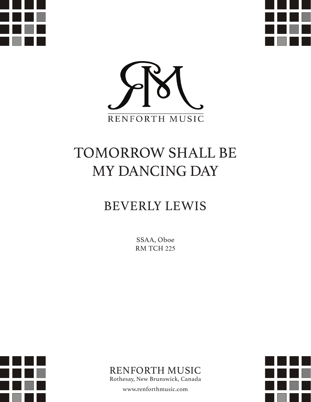





## TOMORROW SHALL BE MY DANCING DAY

## BEVERLY LEWIS

SSAA, Oboe RM TCH 225





Rothesay, New Brunswick, Canada

www.renforthmusic.com

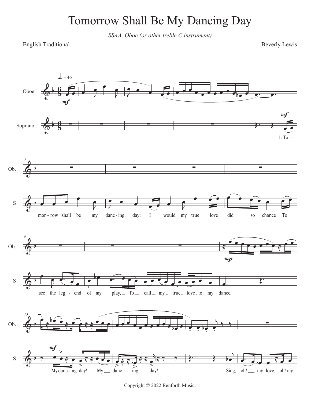## Tomorrow Shall Be My Dancing Day

*SSAA, Oboe (or other treble C instrument)*

## English Traditional

Beverly Lewis



Copyright © 2022 Renforth Music.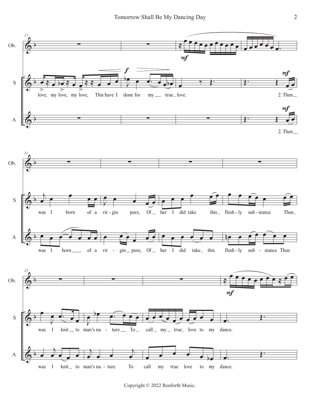

Copyright © 2022 Renforth Music.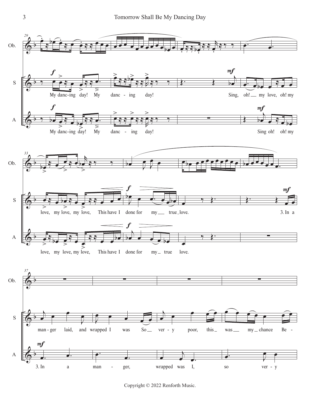

Copyright © 2022 Renforth Music.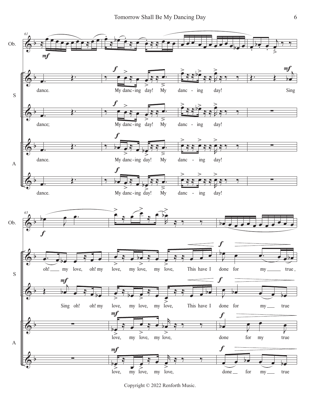

Copyright © 2022 Renforth Music.